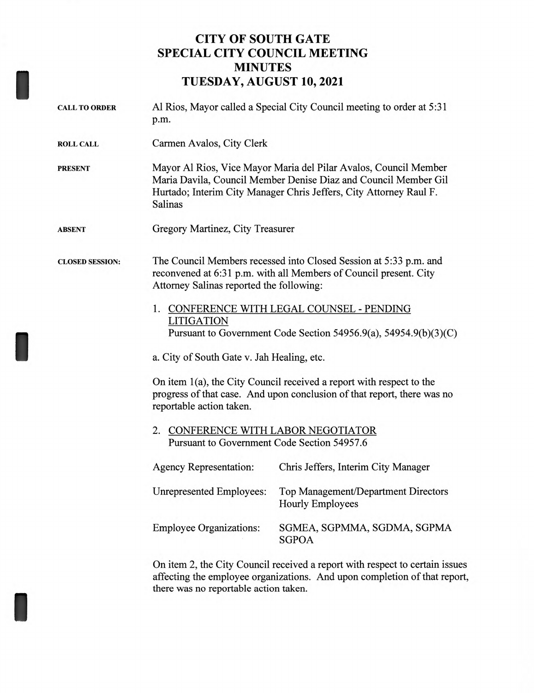## **CITY OF SOUTH GATE SPECIAL CITY COUNCIL MEETING MINUTES TUESDAY, AUGUST 10, 2021**

| <b>CALL TO ORDER</b>   | Al Rios, Mayor called a Special City Council meeting to order at 5:31<br>p.m.                                                                                                                                                                                                                 |                                                                       |                                             |  |
|------------------------|-----------------------------------------------------------------------------------------------------------------------------------------------------------------------------------------------------------------------------------------------------------------------------------------------|-----------------------------------------------------------------------|---------------------------------------------|--|
| <b>ROLL CALL</b>       | Carmen Avalos, City Clerk                                                                                                                                                                                                                                                                     |                                                                       |                                             |  |
| <b>PRESENT</b>         | Mayor Al Rios, Vice Mayor Maria del Pilar Avalos, Council Member<br>Maria Davila, Council Member Denise Diaz and Council Member Gil<br>Hurtado; Interim City Manager Chris Jeffers, City Attorney Raul F.<br>Salinas                                                                          |                                                                       |                                             |  |
| <b>ABSENT</b>          | Gregory Martinez, City Treasurer                                                                                                                                                                                                                                                              |                                                                       |                                             |  |
| <b>CLOSED SESSION:</b> | The Council Members recessed into Closed Session at 5:33 p.m. and<br>reconvened at 6:31 p.m. with all Members of Council present. City<br>Attorney Salinas reported the following:<br>1. CONFERENCE WITH LEGAL COUNSEL - PENDING<br><b>LITIGATION</b>                                         |                                                                       |                                             |  |
|                        | Pursuant to Government Code Section 54956.9(a), 54954.9(b)(3)(C)<br>a. City of South Gate v. Jah Healing, etc.<br>On item 1(a), the City Council received a report with respect to the<br>progress of that case. And upon conclusion of that report, there was no<br>reportable action taken. |                                                                       |                                             |  |
|                        |                                                                                                                                                                                                                                                                                               |                                                                       | 2. CONFERENCE WITH LABOR NEGOTIATOR         |  |
|                        |                                                                                                                                                                                                                                                                                               |                                                                       | Pursuant to Government Code Section 54957.6 |  |
|                        | <b>Agency Representation:</b>                                                                                                                                                                                                                                                                 | Chris Jeffers, Interim City Manager                                   |                                             |  |
|                        | <b>Unrepresented Employees:</b>                                                                                                                                                                                                                                                               | <b>Top Management/Department Directors</b><br><b>Hourly Employees</b> |                                             |  |
|                        | <b>Employee Organizations:</b>                                                                                                                                                                                                                                                                | SGMEA, SGPMMA, SGDMA, SGPMA<br><b>SGPOA</b>                           |                                             |  |
|                        | On item 2, the City Council received a report with respect to certain issues<br>affecting the employee organizations. And upon completion of that report,                                                                                                                                     |                                                                       |                                             |  |

there was no reportable action taken.